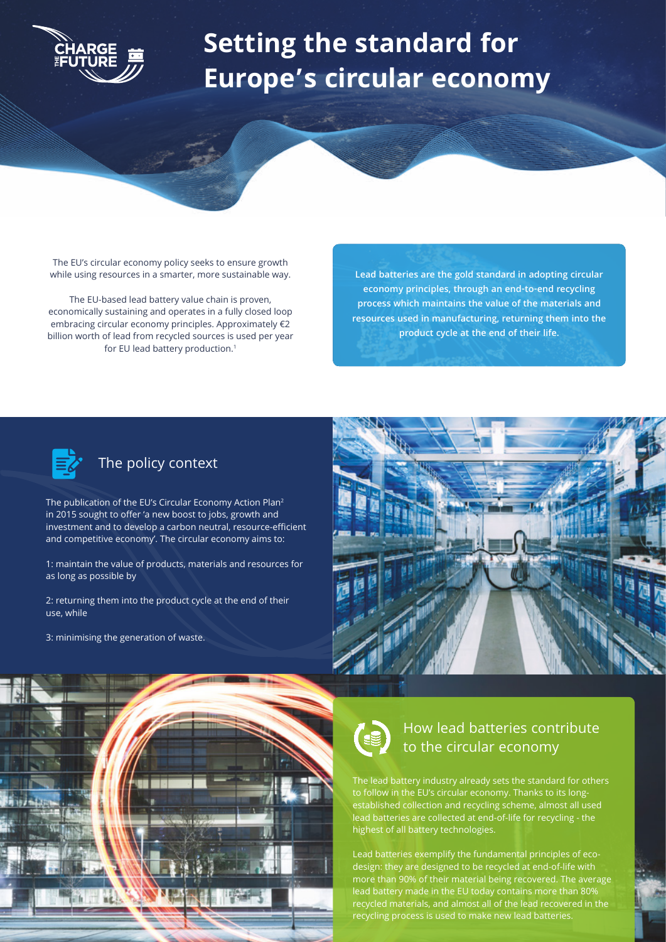

## **Setting the standard for Europe's circular economy**

The EU's circular economy policy seeks to ensure growth while using resources in a smarter, more sustainable way.

The EU-based lead battery value chain is proven, economically sustaining and operates in a fully closed loop embracing circular economy principles. Approximately €2 billion worth of lead from recycled sources is used per year for EU lead battery production.<sup>1</sup>

**Lead batteries are the gold standard in adopting circular economy principles, through an end-to-end recycling process which maintains the value of the materials and resources used in manufacturing, returning them into the product cycle at the end of their life.** 



## The policy context

The publication of the EU's Circular Economy Action Plan<sup>2</sup> in 2015 sought to offer 'a new boost to jobs, growth and investment and to develop a carbon neutral, resource-efficient and competitive economy'. The circular economy aims to:

1: maintain the value of products, materials and resources for as long as possible by

2: returning them into the product cycle at the end of their use, while

3: minimising the generation of waste.





## How lead batteries contribute to the circular economy

The lead battery industry already sets the standard for others to follow in the EU's circular economy. Thanks to its longestablished collection and recycling scheme, almost all used lead batteries are collected at end-of-life for recycling - the highest of all battery technologies.

Lead batteries exemplify the fundamental principles of ecodesign: they are designed to be recycled at end-of-life with more than 90% of their material being recovered. The average lead battery made in the EU today contains more than 80% recycled materials, and almost all of the lead recovered in the recycling process is used to make new lead batteries.